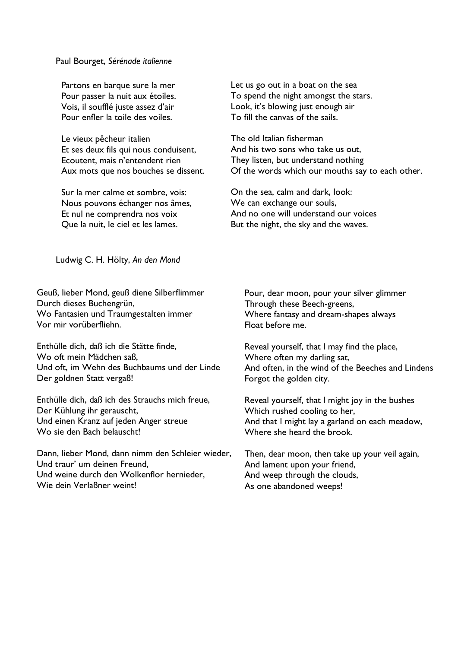Paul Bourget, *Sérénade italienne*

Partons en barque sure la mer Pour passer la nuit aux étoiles. Vois, il soufflé juste assez d'air Pour enfler la toile des voiles.

Le vieux pêcheur italien Et ses deux fils qui nous conduisent, Ecoutent, mais n'entendent rien Aux mots que nos bouches se dissent.

Sur la mer calme et sombre, vois: Nous pouvons échanger nos âmes, Et nul ne comprendra nos voix Que la nuit, le ciel et les lames.

Let us go out in a boat on the sea To spend the night amongst the stars. Look, it's blowing just enough air To fill the canvas of the sails.

The old Italian fisherman And his two sons who take us out, They listen, but understand nothing Of the words which our mouths say to each other.

On the sea, calm and dark, look: We can exchange our souls, And no one will understand our voices But the night, the sky and the waves.

Ludwig C. H. Hölty, *An den Mond*

Geuß, lieber Mond, geuß diene Silberflimmer Durch dieses Buchengrün, Wo Fantasien und Traumgestalten immer Vor mir vorüberfliehn.

Enthülle dich, daß ich die Stätte finde, Wo oft mein Mädchen saß, Und oft, im Wehn des Buchbaums und der Linde Der goldnen Statt vergaß!

Enthülle dich, daß ich des Strauchs mich freue, Der Kühlung ihr gerauscht, Und einen Kranz auf jeden Anger streue Wo sie den Bach belauscht!

Dann, lieber Mond, dann nimm den Schleier wieder, Und traur' um deinen Freund, Und weine durch den Wolkenflor hernieder, Wie dein Verlaßner weint!

Pour, dear moon, pour your silver glimmer Through these Beech-greens, Where fantasy and dream-shapes always Float before me.

Reveal yourself, that I may find the place, Where often my darling sat, And often, in the wind of the Beeches and Lindens Forgot the golden city.

Reveal yourself, that I might joy in the bushes Which rushed cooling to her, And that I might lay a garland on each meadow, Where she heard the brook.

Then, dear moon, then take up your veil again, And lament upon your friend, And weep through the clouds, As one abandoned weeps!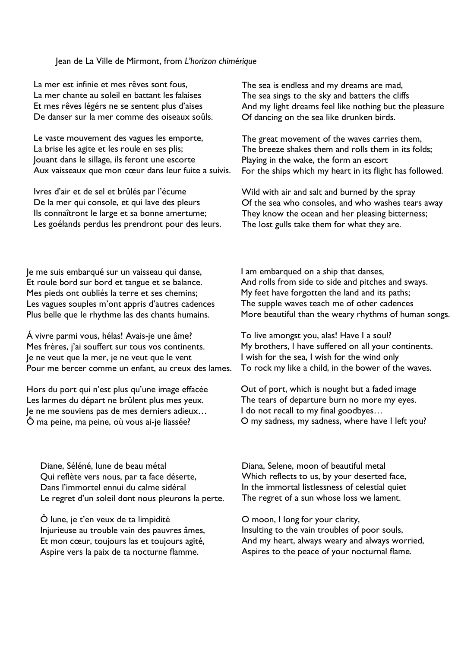## Jean de La Ville de Mirmont, from *L'horizon chimérique*

La mer est infinie et mes rêves sont fous, La mer chante au soleil en battant les falaises Et mes rêves légérs ne se sentent plus d'aises De danser sur la mer comme des oiseaux soûls.

Le vaste mouvement des vagues les emporte, La brise les agite et les roule en ses plis; Jouant dans le sillage, ils feront une escorte Aux vaisseaux que mon cœur dans leur fuite a suivis.

Ivres d'air et de sel et brûlés par l'écume De la mer qui console, et qui lave des pleurs Ils connaîtront le large et sa bonne amertume; Les goélands perdus les prendront pour des leurs. The sea is endless and my dreams are mad, The sea sings to the sky and batters the cliffs And my light dreams feel like nothing but the pleasure Of dancing on the sea like drunken birds.

The great movement of the waves carries them, The breeze shakes them and rolls them in its folds; Playing in the wake, the form an escort For the ships which my heart in its flight has followed.

Wild with air and salt and burned by the spray Of the sea who consoles, and who washes tears away They know the ocean and her pleasing bitterness; The lost gulls take them for what they are.

Je me suis embarqué sur un vaisseau qui danse, Et roule bord sur bord et tangue et se balance. Mes pieds ont oubliés la terre et ses chemins; Les vagues souples m'ont appris d'autres cadences Plus belle que le rhythme las des chants humains.

Á vivre parmi vous, hélas! Avais-je une âme? Mes frères, j'ai souffert sur tous vos continents. Je ne veut que la mer, je ne veut que le vent Pour me bercer comme un enfant, au creux des lames.

Hors du port qui n'est plus qu'une image effacée Les larmes du départ ne brûlent plus mes yeux. Je ne me souviens pas de mes derniers adieux… Ô ma peine, ma peine, où vous ai-je liassée?

Diane, Séléné, lune de beau métal Qui reflète vers nous, par ta face déserte, Dans l'immortel ennui du calme sidéral Le regret d'un soleil dont nous pleurons la perte.

Ô lune, je t'en veux de ta limpidité Injurieuse au trouble vain des pauvres âmes, Et mon cœur, toujours las et toujours agité, Aspire vers la paix de ta nocturne flamme.

I am embarqued on a ship that danses, And rolls from side to side and pitches and sways. My feet have forgotten the land and its paths; The supple waves teach me of other cadences More beautiful than the weary rhythms of human songs.

To live amongst you, alas! Have I a soul? My brothers, I have suffered on all your continents. I wish for the sea, I wish for the wind only To rock my like a child, in the bower of the waves.

Out of port, which is nought but a faded image The tears of departure burn no more my eyes. I do not recall to my final goodbyes... O my sadness, my sadness, where have I left you?

Diana, Selene, moon of beautiful metal Which reflects to us, by your deserted face, In the immortal listlessness of celestial quiet The regret of a sun whose loss we lament.

O moon, I long for your clarity, Insulting to the vain troubles of poor souls, And my heart, always weary and always worried, Aspires to the peace of your nocturnal flame.